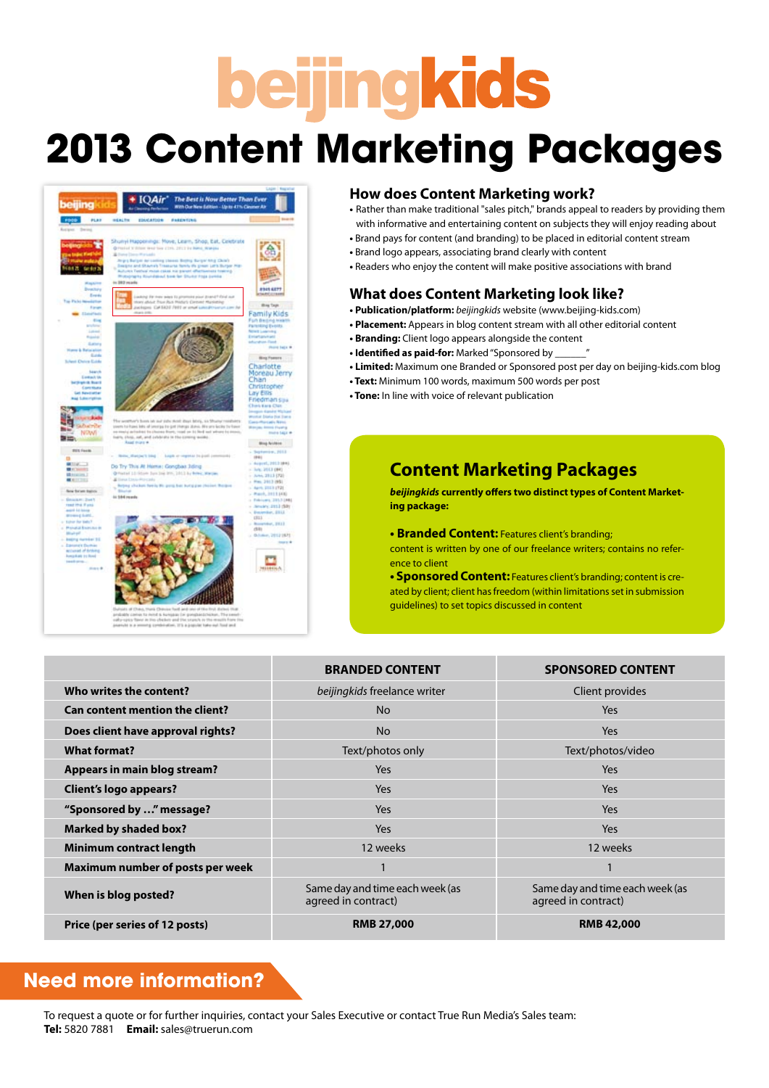# **beijingkids**

### **2013 Content Marketing Packages**



### **How does Content Marketing work?**

- Rather than make traditional "sales pitch," brands appeal to readers by providing them with informative and entertaining content on subjects they will enjoy reading about
- Brand pays for content (and branding) to be placed in editorial content stream
- Brand logo appears, associating brand clearly with content
- Readers who enjoy the content will make positive associations with brand

### **What does Content Marketing look like?**

- **Publication/platform:** *beijingkids* website (www.beijing-kids.com)
- **Placement:** Appears in blog content stream with all other editorial content
- **Branding:** Client logo appears alongside the content
- **Identified as paid-for:** Marked "Sponsored by
- **Limited:** Maximum one Branded or Sponsored post per day on beijing-kids.com blog
- **Text:** Minimum 100 words, maximum 500 words per post
- **Tone:** In line with voice of relevant publication

### **Content Marketing Packages**

*beijingkids* **currently offers two distinct types of Content Marketing package:**

**• Branded Content:** Features client's branding;

content is written by one of our freelance writers; contains no reference to client

**• Sponsored Content:** Features client's branding; content is created by client; client has freedom (within limitations set in submission guidelines) to set topics discussed in content

|                                        | <b>BRANDED CONTENT</b>                                 | <b>SPONSORED CONTENT</b>                               |
|----------------------------------------|--------------------------------------------------------|--------------------------------------------------------|
| Who writes the content?                | beijingkids freelance writer                           | Client provides                                        |
| <b>Can content mention the client?</b> | <b>No</b>                                              | Yes                                                    |
| Does client have approval rights?      | <b>No</b>                                              | Yes                                                    |
| <b>What format?</b>                    | Text/photos only                                       | Text/photos/video                                      |
| <b>Appears in main blog stream?</b>    | Yes                                                    | Yes                                                    |
| <b>Client's logo appears?</b>          | Yes                                                    | Yes                                                    |
| "Sponsored by " message?               | Yes                                                    | Yes                                                    |
| <b>Marked by shaded box?</b>           | <b>Yes</b>                                             | Yes                                                    |
| Minimum contract length                | 12 weeks                                               | 12 weeks                                               |
| Maximum number of posts per week       |                                                        |                                                        |
| When is blog posted?                   | Same day and time each week (as<br>agreed in contract) | Same day and time each week (as<br>agreed in contract) |
| Price (per series of 12 posts)         | <b>RMB 27,000</b>                                      | <b>RMB 42,000</b>                                      |

### **Need more information?**

To request a quote or for further inquiries, contact your Sales Executive or contact True Run Media's Sales team: **Tel:** 5820 7881 **Email:** sales@truerun.com